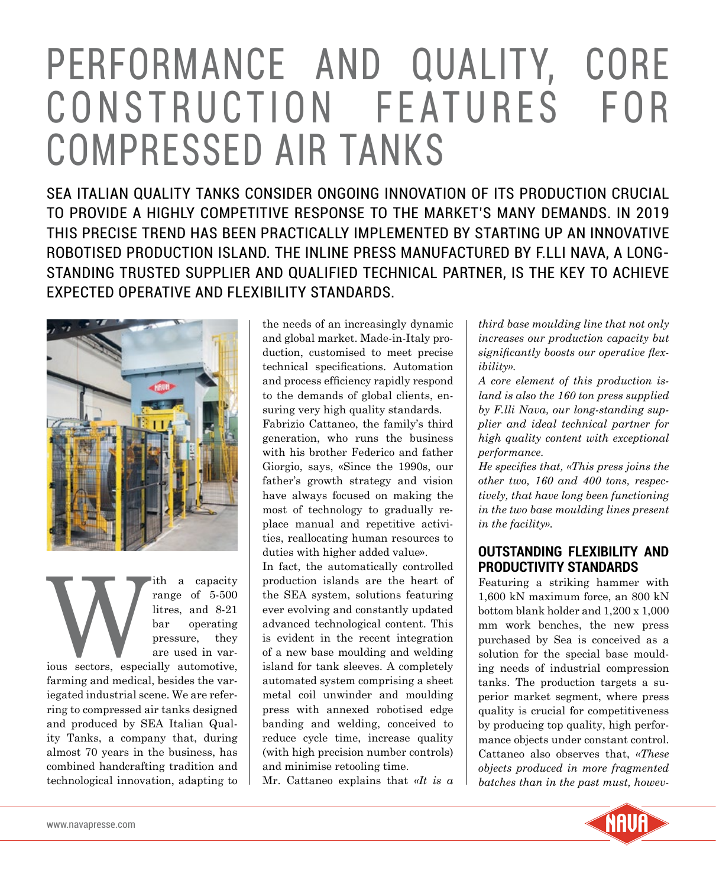# PERFORMANCE AND QUALITY, CORE CONSTRUCTION FEATURES FOR COMPRESSED AIR TANKS

SEA ITALIAN QUALITY TANKS CONSIDER ONGOING INNOVATION OF ITS PRODUCTION CRUCIAL TO PROVIDE A HIGHLY COMPETITIVE RESPONSE TO THE MARKET'S MANY DEMANDS. IN 2019 THIS PRECISE TREND HAS BEEN PRACTICALLY IMPLEMENTED BY STARTING UP AN INNOVATIVE ROBOTISED PRODUCTION ISLAND. THE INLINE PRESS MANUFACTURED BY F.LLI NAVA, A LONG-STANDING TRUSTED SUPPLIER AND QUALIFIED TECHNICAL PARTNER, IS THE KEY TO ACHIEVE EXPECTED OPERATIVE AND FLEXIBILITY STANDARDS.



The a capacity<br>
range of 5-500<br>
litres, and 8-21<br>
bar operating<br>
pressure, they<br>
are used in var-<br>
ious sectors, especially automotive, range of 5-500 litres, and 8-21 bar operating pressure, they are used in various sectors, especially automotive,

farming and medical, besides the variegated industrial scene. We are referring to compressed air tanks designed and produced by SEA Italian Quality Tanks, a company that, during almost 70 years in the business, has combined handcrafting tradition and technological innovation, adapting to the needs of an increasingly dynamic and global market. Made-in-Italy production, customised to meet precise technical specifications. Automation and process efficiency rapidly respond to the demands of global clients, ensuring very high quality standards. Fabrizio Cattaneo, the family's third generation, who runs the business with his brother Federico and father Giorgio, says, «Since the 1990s, our father's growth strategy and vision have always focused on making the most of technology to gradually replace manual and repetitive activities, reallocating human resources to duties with higher added value».

In fact, the automatically controlled production islands are the heart of the SEA system, solutions featuring ever evolving and constantly updated advanced technological content. This is evident in the recent integration of a new base moulding and welding island for tank sleeves. A completely automated system comprising a sheet metal coil unwinder and moulding press with annexed robotised edge banding and welding, conceived to reduce cycle time, increase quality (with high precision number controls) and minimise retooling time.

Mr. Cattaneo explains that *«It is a* 

*third base moulding line that not only increases our production capacity but significantly boosts our operative flexibility».*

*A core element of this production island is also the 160 ton press supplied by F.lli Nava, our long-standing supplier and ideal technical partner for high quality content with exceptional performance.*

*He specifies that, «This press joins the other two, 160 and 400 tons, respectively, that have long been functioning in the two base moulding lines present in the facility».*

#### **OUTSTANDING FLEXIBILITY AND PRODUCTIVITY STANDARDS**

Featuring a striking hammer with 1,600 kN maximum force, an 800 kN bottom blank holder and 1,200 x 1,000 mm work benches, the new press purchased by Sea is conceived as a solution for the special base moulding needs of industrial compression tanks. The production targets a superior market segment, where press quality is crucial for competitiveness by producing top quality, high performance objects under constant control. Cattaneo also observes that, *«These objects produced in more fragmented batches than in the past must, howev-*